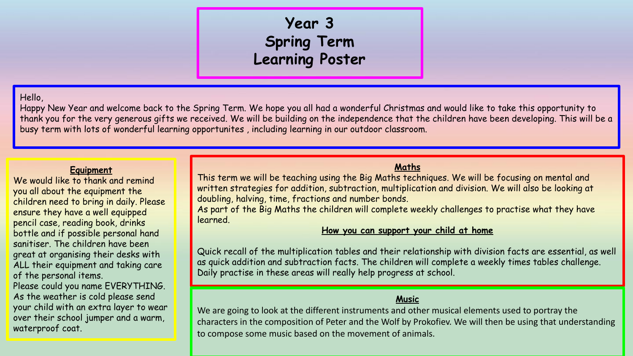# **Year 3 Spring Term Learning Poster**

#### Hello,

Happy New Year and welcome back to the Spring Term. We hope you all had a wonderful Christmas and would like to take this opportunity to thank you for the very generous gifts we received. We will be building on the independence that the children have been developing. This will be a busy term with lots of wonderful learning opportunites , including learning in our outdoor classroom.

#### **Equipment**

We would like to thank and remind you all about the equipment the children need to bring in daily. Please ensure they have a well equipped pencil case, reading book, drinks bottle and if possible personal hand sanitiser. The children have been great at organising their desks with ALL their equipment and taking care of the personal items.

Please could you name EVERYTHING. As the weather is cold please send your child with an extra layer to wear over their school jumper and a warm, waterproof coat.

## **Maths**

This term we will be teaching using the Big Maths techniques. We will be focusing on mental and written strategies for addition, subtraction, multiplication and division. We will also be looking at doubling, halving, time, fractions and number bonds.

As part of the Big Maths the children will complete weekly challenges to practise what they have learned.

#### **How you can support your child at home**

Quick recall of the multiplication tables and their relationship with division facts are essential, as well as quick addition and subtraction facts. The children will complete a weekly times tables challenge. Daily practise in these areas will really help progress at school.

#### **Music**

We are going to look at the different instruments and other musical elements used to portray the characters in the composition of Peter and the Wolf by Prokofiev. We will then be using that understanding to compose some music based on the movement of animals.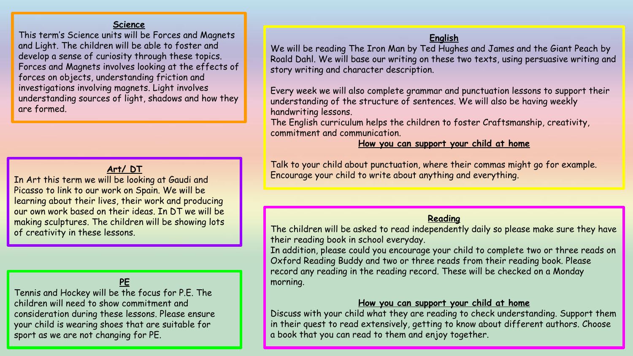#### **Science**

This term's Science units will be Forces and Magnets and Light. The children will be able to foster and develop a sense of curiosity through these topics. Forces and Magnets involves looking at the effects of forces on objects, understanding friction and investigations involving magnets. Light involves understanding sources of light, shadows and how they are formed.

# **Art/ DT**

In Art this term we will be looking at Gaudi and Picasso to link to our work on Spain. We will be learning about their lives, their work and producing our own work based on their ideas. In DT we will be making sculptures. The children will be showing lots of creativity in these lessons.

## **PE**

Tennis and Hockey will be the focus for P.E. The children will need to show commitment and consideration during these lessons. Please ensure your child is wearing shoes that are suitable for sport as we are not changing for PE.

#### **English**

We will be reading The Iron Man by Ted Hughes and James and the Giant Peach by Roald Dahl. We will base our writing on these two texts, using persuasive writing and story writing and character description.

Every week we will also complete grammar and punctuation lessons to support their understanding of the structure of sentences. We will also be having weekly handwriting lessons.

The English curriculum helps the children to foster Craftsmanship, creativity, commitment and communication.

#### **How you can support your child at home**

Talk to your child about punctuation, where their commas might go for example. Encourage your child to write about anything and everything.

#### **Reading**

The children will be asked to read independently daily so please make sure they have their reading book in school everyday.

In addition, please could you encourage your child to complete two or three reads on Oxford Reading Buddy and two or three reads from their reading book. Please record any reading in the reading record. These will be checked on a Monday morning.

#### **How you can support your child at home**

Discuss with your child what they are reading to check understanding. Support them in their quest to read extensively, getting to know about different authors. Choose a book that you can read to them and enjoy together.